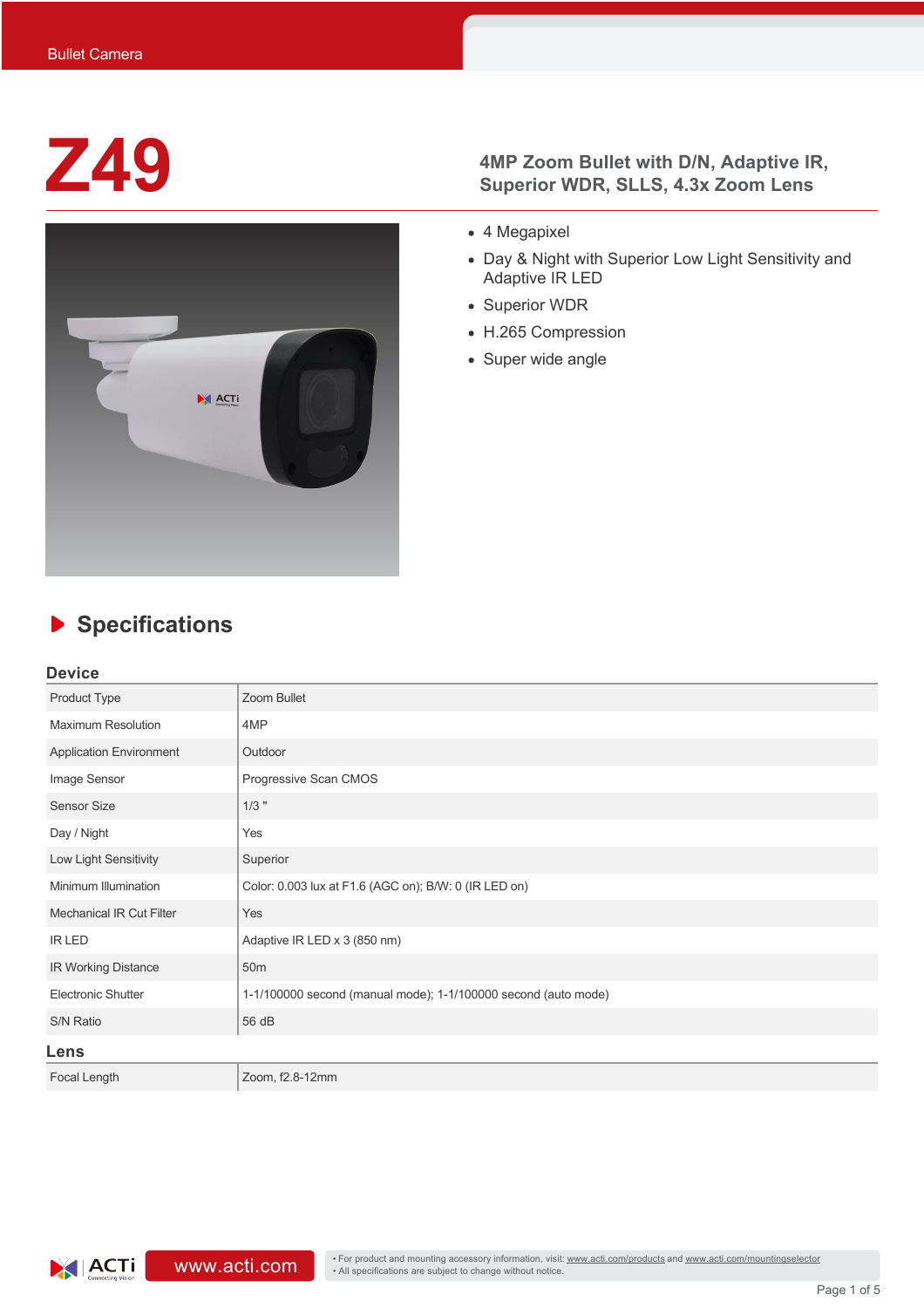

## **Z49 4MP Zoom Bullet with D/N, Adaptive IR,**<br>Superior WDR. SLLS. 4.3x Zoom Lens **Superior WDR, SLLS, 4.3x Zoom Lens**

- 4 Megapixel
- Day & Night with Superior Low Light Sensitivity and Adaptive IR LED
- Superior WDR
- H.265 Compression
- Super wide angle

# **Specifications**

#### **Device**

| Product Type                    | Zoom Bullet                                                    |
|---------------------------------|----------------------------------------------------------------|
| <b>Maximum Resolution</b>       | 4MP                                                            |
| <b>Application Environment</b>  | Outdoor                                                        |
| Image Sensor                    | Progressive Scan CMOS                                          |
| <b>Sensor Size</b>              | $1/3$ "                                                        |
| Day / Night                     | Yes                                                            |
| Low Light Sensitivity           | Superior                                                       |
| Minimum Illumination            | Color: 0.003 lux at F1.6 (AGC on); B/W: 0 (IR LED on)          |
| <b>Mechanical IR Cut Filter</b> | Yes                                                            |
| <b>IR LED</b>                   | Adaptive IR LED x 3 (850 nm)                                   |
| <b>IR Working Distance</b>      | 50 <sub>m</sub>                                                |
| <b>Electronic Shutter</b>       | 1-1/100000 second (manual mode); 1-1/100000 second (auto mode) |
| S/N Ratio                       | 56 dB                                                          |
| Lens                            |                                                                |
| Focal Length                    | Zoom, f2.8-12mm                                                |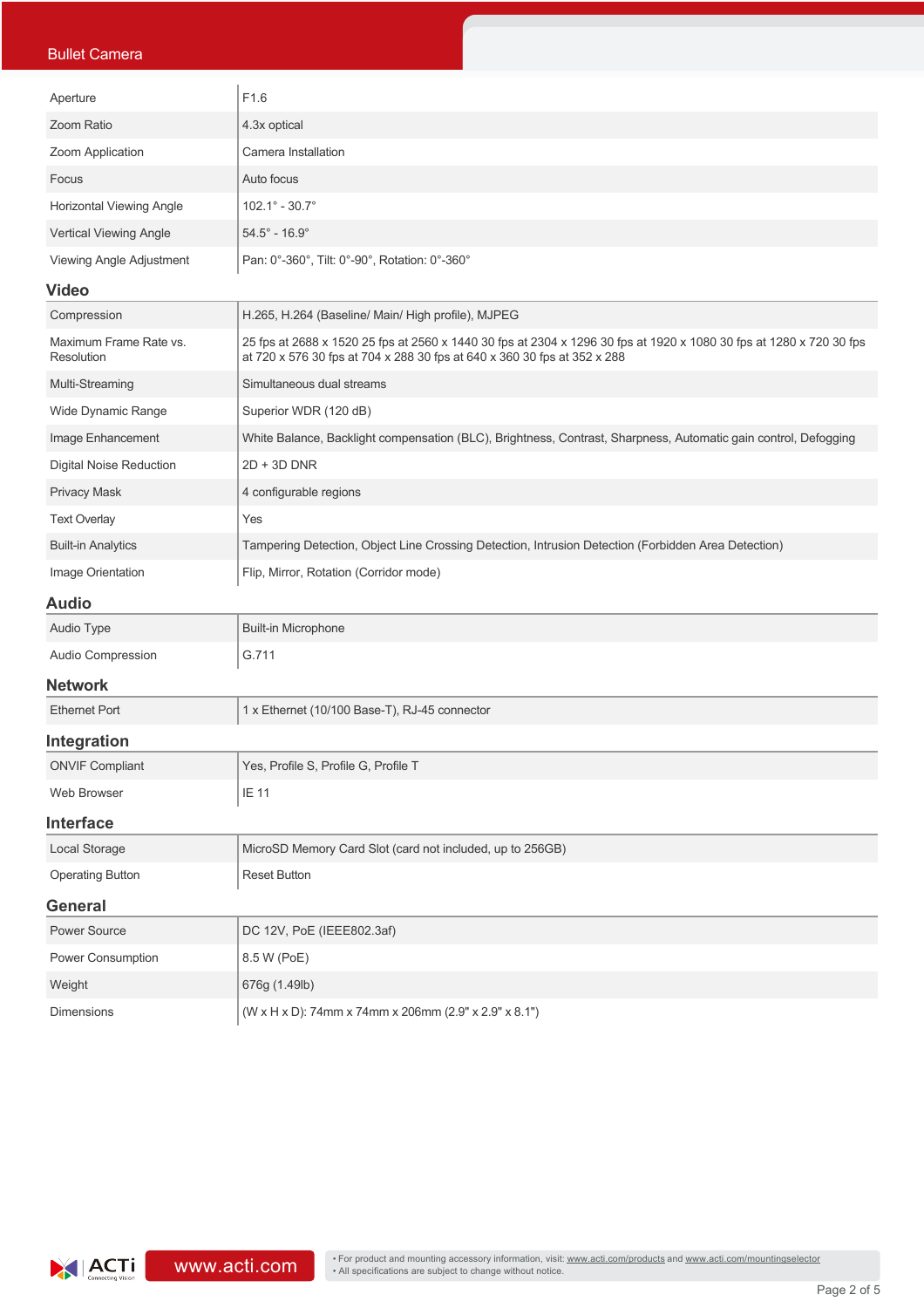### Bullet Camera

| Aperture                        | F <sub>1.6</sub>                              |
|---------------------------------|-----------------------------------------------|
| Zoom Ratio                      | 4.3x optical                                  |
| Zoom Application                | Camera Installation                           |
| Focus                           | Auto focus                                    |
| <b>Horizontal Viewing Angle</b> | $102.1^{\circ} - 30.7^{\circ}$                |
| Vertical Viewing Angle          | $54.5^{\circ}$ - 16.9 $^{\circ}$              |
| Viewing Angle Adjustment        | Pan: 0°-360°, Tilt: 0°-90°, Rotation: 0°-360° |

#### **Video**

| Compression                          | H.265, H.264 (Baseline/ Main/ High profile), MJPEG                                                                                                                                              |
|--------------------------------------|-------------------------------------------------------------------------------------------------------------------------------------------------------------------------------------------------|
| Maximum Frame Rate vs.<br>Resolution | 25 fps at 2688 x 1520 25 fps at 2560 x 1440 30 fps at 2304 x 1296 30 fps at 1920 x 1080 30 fps at 1280 x 720 30 fps<br>at 720 x 576 30 fps at 704 x 288 30 fps at 640 x 360 30 fps at 352 x 288 |
| Multi-Streaming                      | Simultaneous dual streams                                                                                                                                                                       |
| Wide Dynamic Range                   | Superior WDR (120 dB)                                                                                                                                                                           |
| Image Enhancement                    | White Balance, Backlight compensation (BLC), Brightness, Contrast, Sharpness, Automatic gain control, Defogging                                                                                 |
| <b>Digital Noise Reduction</b>       | $2D + 3D$ DNR                                                                                                                                                                                   |
| <b>Privacy Mask</b>                  | 4 configurable regions                                                                                                                                                                          |
| <b>Text Overlay</b>                  | Yes                                                                                                                                                                                             |
| <b>Built-in Analytics</b>            | Tampering Detection, Object Line Crossing Detection, Intrusion Detection (Forbidden Area Detection)                                                                                             |
| Image Orientation                    | Flip, Mirror, Rotation (Corridor mode)                                                                                                                                                          |

### **Audio**

| Auviv                    |                                               |  |
|--------------------------|-----------------------------------------------|--|
| Audio Type               | Built-in Microphone                           |  |
| <b>Audio Compression</b> | G.711                                         |  |
| <b>Network</b>           |                                               |  |
| <b>Ethernet Port</b>     | 1 x Ethernet (10/100 Base-T), RJ-45 connector |  |

#### **Integration**

| 11109140011            |                                                           |  |  |
|------------------------|-----------------------------------------------------------|--|--|
| <b>ONVIF Compliant</b> | Yes, Profile S, Profile G, Profile T                      |  |  |
| Web Browser            | IE 11                                                     |  |  |
| <b>Interface</b>       |                                                           |  |  |
| Local Storage          | MicroSD Memory Card Slot (card not included, up to 256GB) |  |  |

| ີ                       |              |  |  |  |  |  |
|-------------------------|--------------|--|--|--|--|--|
| <b>Operating Button</b> | Reset Button |  |  |  |  |  |
| General                 |              |  |  |  |  |  |
| D                       | D(A)         |  |  |  |  |  |

| <b>Power Source</b>      | DC 12V, PoE (IEEE802.3af)                                          |
|--------------------------|--------------------------------------------------------------------|
| <b>Power Consumption</b> | 8.5 W (PoE)                                                        |
| Weight                   | 676q (1.49lb)                                                      |
| <b>Dimensions</b>        | $(W \times H \times D)$ : 74mm x 74mm x 206mm (2.9" x 2.9" x 8.1") |

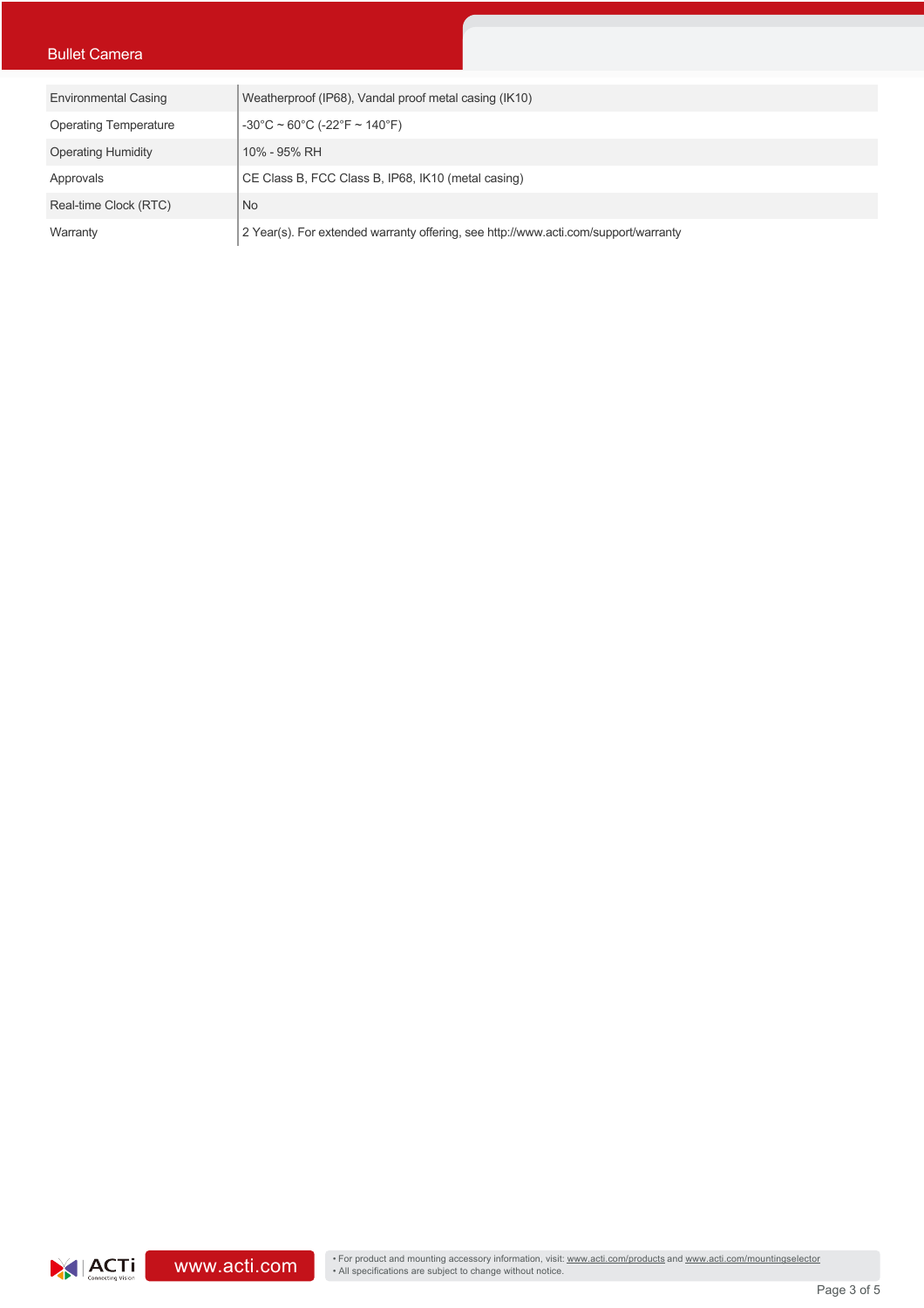### Bullet Camera

| <b>Environmental Casing</b>  | Weatherproof (IP68), Vandal proof metal casing (IK10)                               |
|------------------------------|-------------------------------------------------------------------------------------|
| <b>Operating Temperature</b> | $-30^{\circ}$ C ~ 60 $^{\circ}$ C (-22 $^{\circ}$ F ~ 140 $^{\circ}$ F)             |
| <b>Operating Humidity</b>    | 10% - 95% RH                                                                        |
| Approvals                    | CE Class B, FCC Class B, IP68, IK10 (metal casing)                                  |
| Real-time Clock (RTC)        | <b>No</b>                                                                           |
| Warranty                     | 2 Year(s). For extended warranty offering, see http://www.acti.com/support/warranty |

• For product and mounting accessory information, visit: <u>www.acti.com/products</u> and www.acti.com/mountingselector<br>• All specifications are subject to change without notice.<br>• Page 3 of 5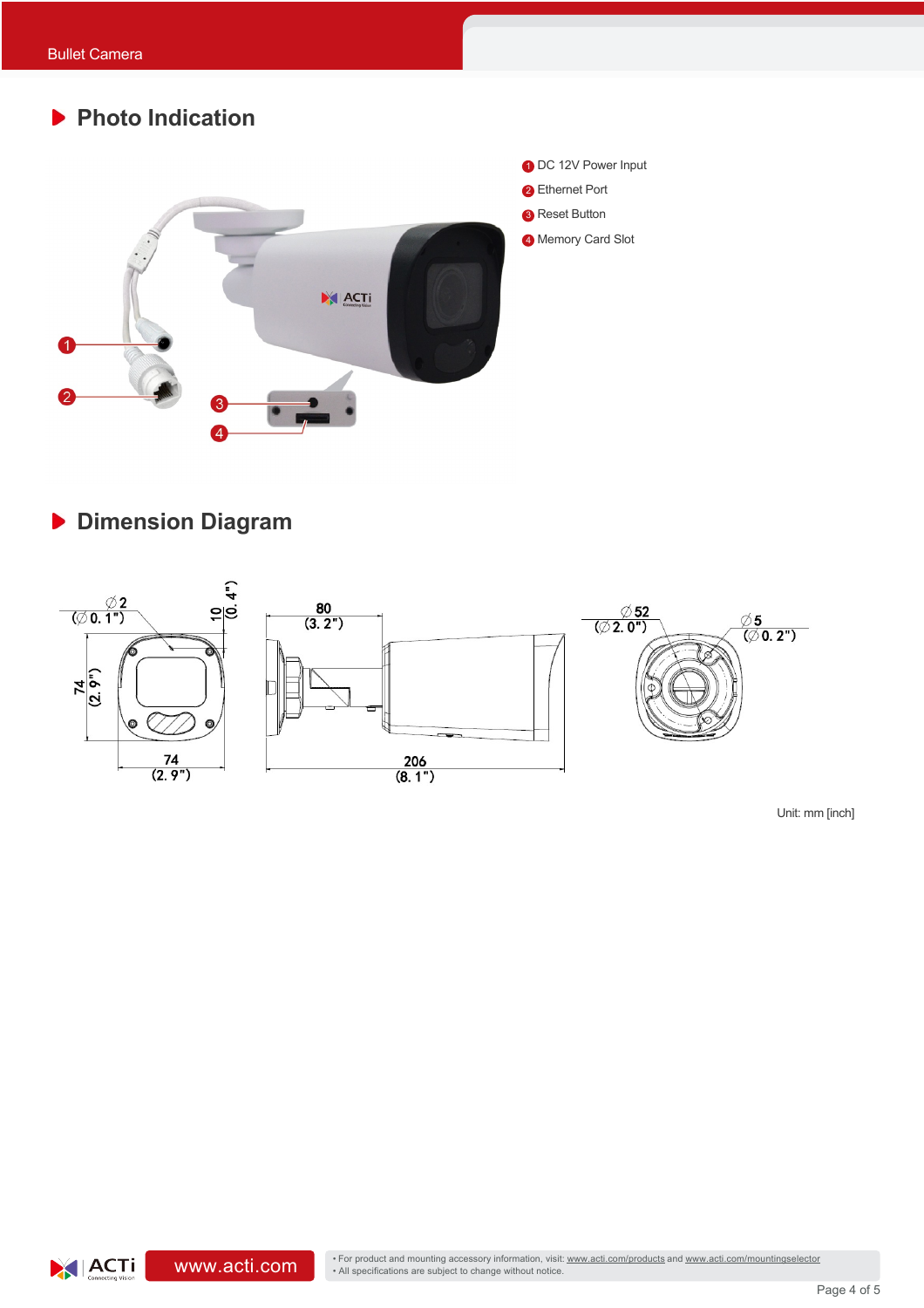# **Photo Indication** 1 DC 12V Power Input **2** Ethernet Port **8** Reset Button 4 Memory Card Slot XI ACTI

## **Dimension Diagram**



Unit: mm [inch]

 $|ACTi|$ 

• For product and mounting accessory information, visit: www.acti.com/products and www.acti.com/mountingselector<br>• All specifications are subject to change without notice.